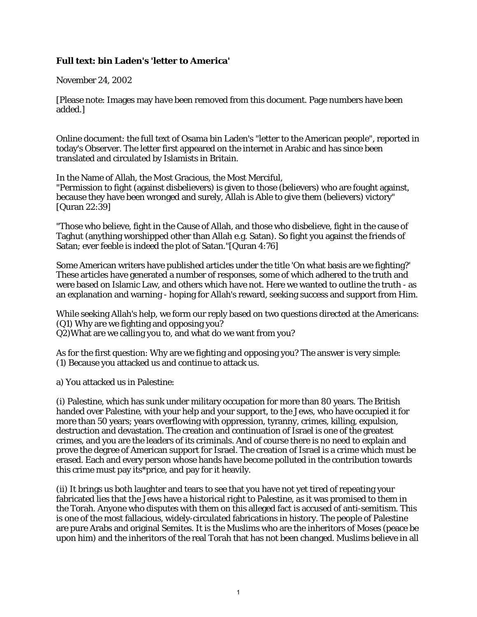## **Full text: bin Laden's 'letter to America'**

November 24, 2002

[Please note: Images may have been removed from this document. Page numbers have been added.]

Online document: the full text of Osama bin Laden's "letter to the American people", reported in today's Observer. The letter first appeared on the internet in Arabic and has since been translated and circulated by Islamists in Britain.

In the Name of Allah, the Most Gracious, the Most Merciful, "Permission to fight (against disbelievers) is given to those (believers) who are fought against, because they have been wronged and surely, Allah is Able to give them (believers) victory" [Quran 22:39]

"Those who believe, fight in the Cause of Allah, and those who disbelieve, fight in the cause of Taghut (anything worshipped other than Allah e.g. Satan). So fight you against the friends of Satan; ever feeble is indeed the plot of Satan."[Quran 4:76]

Some American writers have published articles under the title 'On what basis are we fighting?' These articles have generated a number of responses, some of which adhered to the truth and were based on Islamic Law, and others which have not. Here we wanted to outline the truth - as an explanation and warning - hoping for Allah's reward, seeking success and support from Him.

While seeking Allah's help, we form our reply based on two questions directed at the Americans: (Q1) Why are we fighting and opposing you? Q2)What are we calling you to, and what do we want from you?

As for the first question: Why are we fighting and opposing you? The answer is very simple: (1) Because you attacked us and continue to attack us.

a) You attacked us in Palestine:

(i) Palestine, which has sunk under military occupation for more than 80 years. The British handed over Palestine, with your help and your support, to the Jews, who have occupied it for more than 50 years; years overflowing with oppression, tyranny, crimes, killing, expulsion, destruction and devastation. The creation and continuation of Israel is one of the greatest crimes, and you are the leaders of its criminals. And of course there is no need to explain and prove the degree of American support for Israel. The creation of Israel is a crime which must be erased. Each and every person whose hands have become polluted in the contribution towards this crime must pay its\*price, and pay for it heavily.

(ii) It brings us both laughter and tears to see that you have not yet tired of repeating your fabricated lies that the Jews have a historical right to Palestine, as it was promised to them in the Torah. Anyone who disputes with them on this alleged fact is accused of anti-semitism. This is one of the most fallacious, widely-circulated fabrications in history. The people of Palestine are pure Arabs and original Semites. It is the Muslims who are the inheritors of Moses (peace be upon him) and the inheritors of the real Torah that has not been changed. Muslims believe in all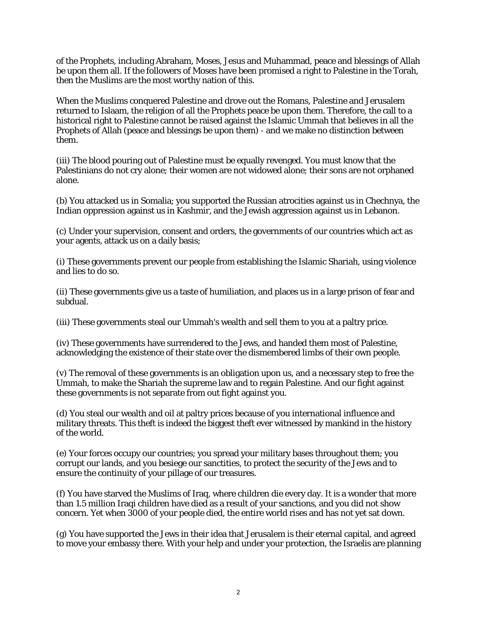of the Prophets, including Abraham, Moses, Jesus and Muhammad, peace and blessings of Allah be upon them all. If the followers of Moses have been promised a right to Palestine in the Torah, then the Muslims are the most worthy nation of this.

When the Muslims conquered Palestine and drove out the Romans, Palestine and Jerusalem returned to Islaam, the religion of all the Prophets peace be upon them. Therefore, the call to a historical right to Palestine cannot be raised against the Islamic Ummah that believes in all the Prophets of Allah (peace and blessings be upon them) - and we make no distinction between them.

(iii) The blood pouring out of Palestine must be equally revenged. You must know that the Palestinians do not cry alone; their women are not widowed alone; their sons are not orphaned alone.

(b) You attacked us in Somalia; you supported the Russian atrocities against us in Chechnya, the Indian oppression against us in Kashmir, and the Jewish aggression against us in Lebanon.

(c) Under your supervision, consent and orders, the governments of our countries which act as your agents, attack us on a daily basis;

(i) These governments prevent our people from establishing the Islamic Shariah, using violence and lies to do so.

(ii) These governments give us a taste of humiliation, and places us in a large prison of fear and subdual.

(iii) These governments steal our Ummah's wealth and sell them to you at a paltry price.

(iv) These governments have surrendered to the Jews, and handed them most of Palestine, acknowledging the existence of their state over the dismembered limbs of their own people.

(v) The removal of these governments is an obligation upon us, and a necessary step to free the Ummah, to make the Shariah the supreme law and to regain Palestine. And our fight against these governments is not separate from out fight against you.

(d) You steal our wealth and oil at paltry prices because of you international influence and military threats. This theft is indeed the biggest theft ever witnessed by mankind in the history of the world.

(e) Your forces occupy our countries; you spread your military bases throughout them; you corrupt our lands, and you besiege our sanctities, to protect the security of the Jews and to ensure the continuity of your pillage of our treasures.

(f) You have starved the Muslims of Iraq, where children die every day. It is a wonder that more than 1.5 million Iraqi children have died as a result of your sanctions, and you did not show concern. Yet when 3000 of your people died, the entire world rises and has not yet sat down.

(g) You have supported the Jews in their idea that Jerusalem is their eternal capital, and agreed to move your embassy there. With your help and under your protection, the Israelis are planning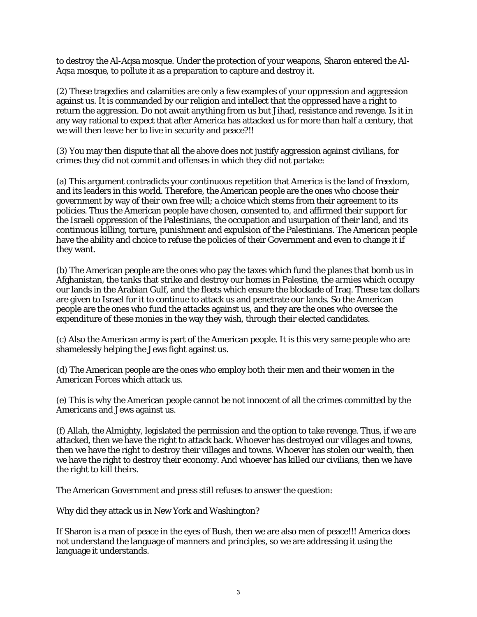to destroy the Al-Aqsa mosque. Under the protection of your weapons, Sharon entered the Al-Aqsa mosque, to pollute it as a preparation to capture and destroy it.

(2) These tragedies and calamities are only a few examples of your oppression and aggression against us. It is commanded by our religion and intellect that the oppressed have a right to return the aggression. Do not await anything from us but Jihad, resistance and revenge. Is it in any way rational to expect that after America has attacked us for more than half a century, that we will then leave her to live in security and peace?!!

(3) You may then dispute that all the above does not justify aggression against civilians, for crimes they did not commit and offenses in which they did not partake:

(a) This argument contradicts your continuous repetition that America is the land of freedom, and its leaders in this world. Therefore, the American people are the ones who choose their government by way of their own free will; a choice which stems from their agreement to its policies. Thus the American people have chosen, consented to, and affirmed their support for the Israeli oppression of the Palestinians, the occupation and usurpation of their land, and its continuous killing, torture, punishment and expulsion of the Palestinians. The American people have the ability and choice to refuse the policies of their Government and even to change it if they want.

(b) The American people are the ones who pay the taxes which fund the planes that bomb us in Afghanistan, the tanks that strike and destroy our homes in Palestine, the armies which occupy our lands in the Arabian Gulf, and the fleets which ensure the blockade of Iraq. These tax dollars are given to Israel for it to continue to attack us and penetrate our lands. So the American people are the ones who fund the attacks against us, and they are the ones who oversee the expenditure of these monies in the way they wish, through their elected candidates.

(c) Also the American army is part of the American people. It is this very same people who are shamelessly helping the Jews fight against us.

(d) The American people are the ones who employ both their men and their women in the American Forces which attack us.

(e) This is why the American people cannot be not innocent of all the crimes committed by the Americans and Jews against us.

(f) Allah, the Almighty, legislated the permission and the option to take revenge. Thus, if we are attacked, then we have the right to attack back. Whoever has destroyed our villages and towns, then we have the right to destroy their villages and towns. Whoever has stolen our wealth, then we have the right to destroy their economy. And whoever has killed our civilians, then we have the right to kill theirs.

The American Government and press still refuses to answer the question:

Why did they attack us in New York and Washington?

If Sharon is a man of peace in the eyes of Bush, then we are also men of peace!!! America does not understand the language of manners and principles, so we are addressing it using the language it understands.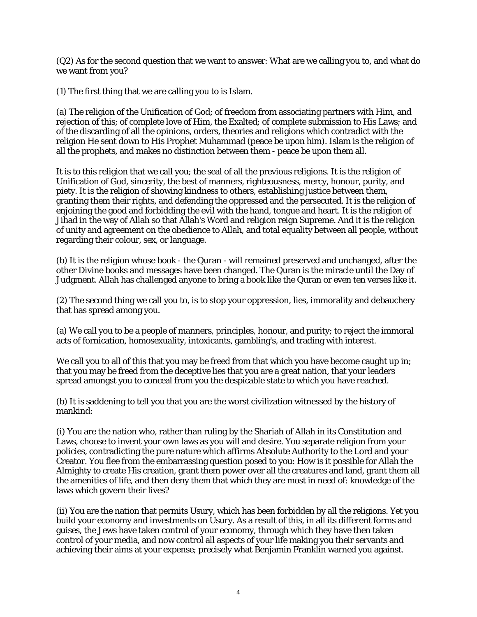(Q2) As for the second question that we want to answer: What are we calling you to, and what do we want from you?

(1) The first thing that we are calling you to is Islam.

(a) The religion of the Unification of God; of freedom from associating partners with Him, and rejection of this; of complete love of Him, the Exalted; of complete submission to His Laws; and of the discarding of all the opinions, orders, theories and religions which contradict with the religion He sent down to His Prophet Muhammad (peace be upon him). Islam is the religion of all the prophets, and makes no distinction between them - peace be upon them all.

It is to this religion that we call you; the seal of all the previous religions. It is the religion of Unification of God, sincerity, the best of manners, righteousness, mercy, honour, purity, and piety. It is the religion of showing kindness to others, establishing justice between them, granting them their rights, and defending the oppressed and the persecuted. It is the religion of enjoining the good and forbidding the evil with the hand, tongue and heart. It is the religion of Jihad in the way of Allah so that Allah's Word and religion reign Supreme. And it is the religion of unity and agreement on the obedience to Allah, and total equality between all people, without regarding their colour, sex, or language.

(b) It is the religion whose book - the Quran - will remained preserved and unchanged, after the other Divine books and messages have been changed. The Quran is the miracle until the Day of Judgment. Allah has challenged anyone to bring a book like the Quran or even ten verses like it.

(2) The second thing we call you to, is to stop your oppression, lies, immorality and debauchery that has spread among you.

(a) We call you to be a people of manners, principles, honour, and purity; to reject the immoral acts of fornication, homosexuality, intoxicants, gambling's, and trading with interest.

We call you to all of this that you may be freed from that which you have become caught up in; that you may be freed from the deceptive lies that you are a great nation, that your leaders spread amongst you to conceal from you the despicable state to which you have reached.

(b) It is saddening to tell you that you are the worst civilization witnessed by the history of mankind:

(i) You are the nation who, rather than ruling by the Shariah of Allah in its Constitution and Laws, choose to invent your own laws as you will and desire. You separate religion from your policies, contradicting the pure nature which affirms Absolute Authority to the Lord and your Creator. You flee from the embarrassing question posed to you: How is it possible for Allah the Almighty to create His creation, grant them power over all the creatures and land, grant them all the amenities of life, and then deny them that which they are most in need of: knowledge of the laws which govern their lives?

(ii) You are the nation that permits Usury, which has been forbidden by all the religions. Yet you build your economy and investments on Usury. As a result of this, in all its different forms and guises, the Jews have taken control of your economy, through which they have then taken control of your media, and now control all aspects of your life making you their servants and achieving their aims at your expense; precisely what Benjamin Franklin warned you against.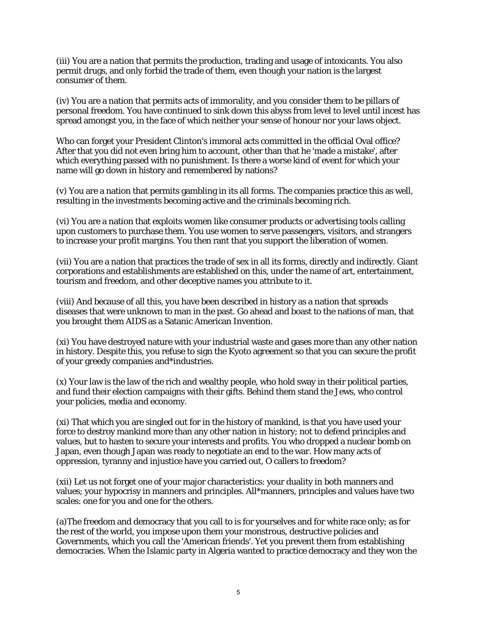(iii) You are a nation that permits the production, trading and usage of intoxicants. You also permit drugs, and only forbid the trade of them, even though your nation is the largest consumer of them.

(iv) You are a nation that permits acts of immorality, and you consider them to be pillars of personal freedom. You have continued to sink down this abyss from level to level until incest has spread amongst you, in the face of which neither your sense of honour nor your laws object.

Who can forget your President Clinton's immoral acts committed in the official Oval office? After that you did not even bring him to account, other than that he 'made a mistake', after which everything passed with no punishment. Is there a worse kind of event for which your name will go down in history and remembered by nations?

(v) You are a nation that permits gambling in its all forms. The companies practice this as well, resulting in the investments becoming active and the criminals becoming rich.

(vi) You are a nation that exploits women like consumer products or advertising tools calling upon customers to purchase them. You use women to serve passengers, visitors, and strangers to increase your profit margins. You then rant that you support the liberation of women.

(vii) You are a nation that practices the trade of sex in all its forms, directly and indirectly. Giant corporations and establishments are established on this, under the name of art, entertainment, tourism and freedom, and other deceptive names you attribute to it.

(viii) And because of all this, you have been described in history as a nation that spreads diseases that were unknown to man in the past. Go ahead and boast to the nations of man, that you brought them AIDS as a Satanic American Invention.

(xi) You have destroyed nature with your industrial waste and gases more than any other nation in history. Despite this, you refuse to sign the Kyoto agreement so that you can secure the profit of your greedy companies and\*industries.

(x) Your law is the law of the rich and wealthy people, who hold sway in their political parties, and fund their election campaigns with their gifts. Behind them stand the Jews, who control your policies, media and economy.

(xi) That which you are singled out for in the history of mankind, is that you have used your force to destroy mankind more than any other nation in history; not to defend principles and values, but to hasten to secure your interests and profits. You who dropped a nuclear bomb on Japan, even though Japan was ready to negotiate an end to the war. How many acts of oppression, tyranny and injustice have you carried out, O callers to freedom?

(xii) Let us not forget one of your major characteristics: your duality in both manners and values; your hypocrisy in manners and principles. All\*manners, principles and values have two scales: one for you and one for the others.

(a)The freedom and democracy that you call to is for yourselves and for white race only; as for the rest of the world, you impose upon them your monstrous, destructive policies and Governments, which you call the 'American friends'. Yet you prevent them from establishing democracies. When the Islamic party in Algeria wanted to practice democracy and they won the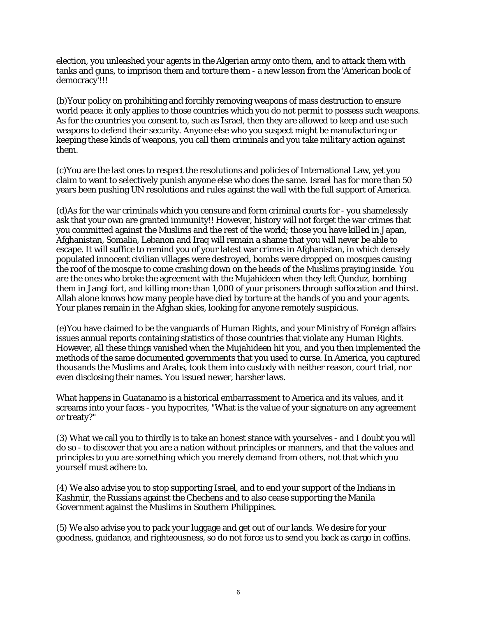election, you unleashed your agents in the Algerian army onto them, and to attack them with tanks and guns, to imprison them and torture them - a new lesson from the 'American book of democracy'!!!

(b)Your policy on prohibiting and forcibly removing weapons of mass destruction to ensure world peace: it only applies to those countries which you do not permit to possess such weapons. As for the countries you consent to, such as Israel, then they are allowed to keep and use such weapons to defend their security. Anyone else who you suspect might be manufacturing or keeping these kinds of weapons, you call them criminals and you take military action against them.

(c)You are the last ones to respect the resolutions and policies of International Law, yet you claim to want to selectively punish anyone else who does the same. Israel has for more than 50 years been pushing UN resolutions and rules against the wall with the full support of America.

(d)As for the war criminals which you censure and form criminal courts for - you shamelessly ask that your own are granted immunity!! However, history will not forget the war crimes that you committed against the Muslims and the rest of the world; those you have killed in Japan, Afghanistan, Somalia, Lebanon and Iraq will remain a shame that you will never be able to escape. It will suffice to remind you of your latest war crimes in Afghanistan, in which densely populated innocent civilian villages were destroyed, bombs were dropped on mosques causing the roof of the mosque to come crashing down on the heads of the Muslims praying inside. You are the ones who broke the agreement with the Mujahideen when they left Qunduz, bombing them in Jangi fort, and killing more than 1,000 of your prisoners through suffocation and thirst. Allah alone knows how many people have died by torture at the hands of you and your agents. Your planes remain in the Afghan skies, looking for anyone remotely suspicious.

(e)You have claimed to be the vanguards of Human Rights, and your Ministry of Foreign affairs issues annual reports containing statistics of those countries that violate any Human Rights. However, all these things vanished when the Mujahideen hit you, and you then implemented the methods of the same documented governments that you used to curse. In America, you captured thousands the Muslims and Arabs, took them into custody with neither reason, court trial, nor even disclosing their names. You issued newer, harsher laws.

What happens in Guatanamo is a historical embarrassment to America and its values, and it screams into your faces - you hypocrites, "What is the value of your signature on any agreement or treaty?"

(3) What we call you to thirdly is to take an honest stance with yourselves - and I doubt you will do so - to discover that you are a nation without principles or manners, and that the values and principles to you are something which you merely demand from others, not that which you yourself must adhere to.

(4) We also advise you to stop supporting Israel, and to end your support of the Indians in Kashmir, the Russians against the Chechens and to also cease supporting the Manila Government against the Muslims in Southern Philippines.

(5) We also advise you to pack your luggage and get out of our lands. We desire for your goodness, guidance, and righteousness, so do not force us to send you back as cargo in coffins.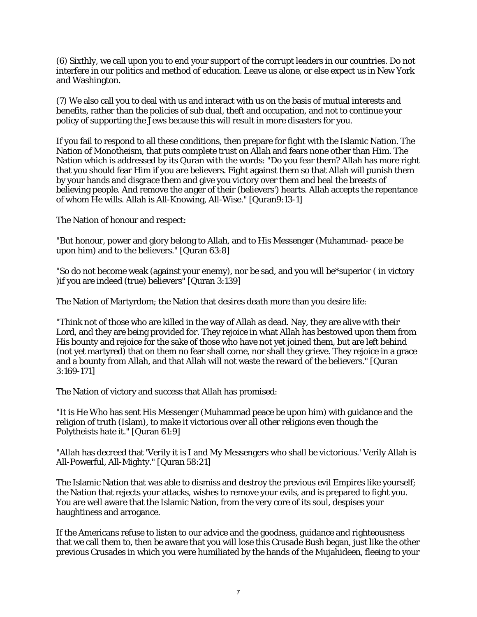(6) Sixthly, we call upon you to end your support of the corrupt leaders in our countries. Do not interfere in our politics and method of education. Leave us alone, or else expect us in New York and Washington.

(7) We also call you to deal with us and interact with us on the basis of mutual interests and benefits, rather than the policies of sub dual, theft and occupation, and not to continue your policy of supporting the Jews because this will result in more disasters for you.

If you fail to respond to all these conditions, then prepare for fight with the Islamic Nation. The Nation of Monotheism, that puts complete trust on Allah and fears none other than Him. The Nation which is addressed by its Quran with the words: "Do you fear them? Allah has more right that you should fear Him if you are believers. Fight against them so that Allah will punish them by your hands and disgrace them and give you victory over them and heal the breasts of believing people. And remove the anger of their (believers') hearts. Allah accepts the repentance of whom He wills. Allah is All-Knowing, All-Wise." [Quran9:13-1]

The Nation of honour and respect:

"But honour, power and glory belong to Allah, and to His Messenger (Muhammad- peace be upon him) and to the believers." [Quran 63:8]

"So do not become weak (against your enemy), nor be sad, and you will be\*superior ( in victory )if you are indeed (true) believers" [Quran 3:139]

The Nation of Martyrdom; the Nation that desires death more than you desire life:

"Think not of those who are killed in the way of Allah as dead. Nay, they are alive with their Lord, and they are being provided for. They rejoice in what Allah has bestowed upon them from His bounty and rejoice for the sake of those who have not yet joined them, but are left behind (not yet martyred) that on them no fear shall come, nor shall they grieve. They rejoice in a grace and a bounty from Allah, and that Allah will not waste the reward of the believers." [Quran 3:169-171]

The Nation of victory and success that Allah has promised:

"It is He Who has sent His Messenger (Muhammad peace be upon him) with guidance and the religion of truth (Islam), to make it victorious over all other religions even though the Polytheists hate it." [Quran 61:9]

"Allah has decreed that 'Verily it is I and My Messengers who shall be victorious.' Verily Allah is All-Powerful, All-Mighty." [Quran 58:21]

The Islamic Nation that was able to dismiss and destroy the previous evil Empires like yourself; the Nation that rejects your attacks, wishes to remove your evils, and is prepared to fight you. You are well aware that the Islamic Nation, from the very core of its soul, despises your haughtiness and arrogance.

If the Americans refuse to listen to our advice and the goodness, guidance and righteousness that we call them to, then be aware that you will lose this Crusade Bush began, just like the other previous Crusades in which you were humiliated by the hands of the Mujahideen, fleeing to your